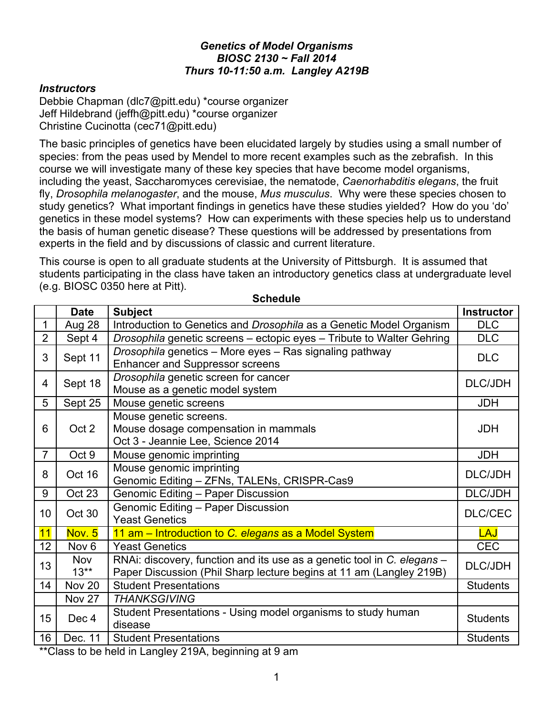### *Genetics of Model Organisms BIOSC 2130 ~ Fall 2014 Thurs 10-11:50 a.m. Langley A219B*

### *Instructors*

Debbie Chapman (dlc7@pitt.edu) \*course organizer Jeff Hildebrand (jeffh@pitt.edu) \*course organizer Christine Cucinotta (cec71@pitt.edu)

The basic principles of genetics have been elucidated largely by studies using a small number of species: from the peas used by Mendel to more recent examples such as the zebrafish. In this course we will investigate many of these key species that have become model organisms, including the yeast, Saccharomyces cerevisiae, the nematode, *Caenorhabditis elegans*, the fruit fly, *Drosophila melanogaster*, and the mouse, *Mus musculus*. Why were these species chosen to study genetics? What important findings in genetics have these studies yielded? How do you 'do' genetics in these model systems? How can experiments with these species help us to understand the basis of human genetic disease? These questions will be addressed by presentations from experts in the field and by discussions of classic and current literature.

This course is open to all graduate students at the University of Pittsburgh. It is assumed that students participating in the class have taken an introductory genetics class at undergraduate level (e.g. BIOSC 0350 here at Pitt).

|                | <b>Date</b>          | <b>Subject</b>                                                                                                                                 | <b>Instructor</b> |
|----------------|----------------------|------------------------------------------------------------------------------------------------------------------------------------------------|-------------------|
| $\mathbf 1$    | Aug 28               | Introduction to Genetics and Drosophila as a Genetic Model Organism                                                                            | <b>DLC</b>        |
| $\overline{2}$ | Sept 4               | Drosophila genetic screens - ectopic eyes - Tribute to Walter Gehring                                                                          | <b>DLC</b>        |
| 3              | Sept 11              | Drosophila genetics - More eyes - Ras signaling pathway<br><b>Enhancer and Suppressor screens</b>                                              | <b>DLC</b>        |
| $\overline{4}$ | Sept 18              | Drosophila genetic screen for cancer<br>Mouse as a genetic model system                                                                        | <b>DLC/JDH</b>    |
| 5              | Sept 25              | Mouse genetic screens                                                                                                                          | <b>JDH</b>        |
| 6              | Oct 2                | Mouse genetic screens.<br>Mouse dosage compensation in mammals<br>Oct 3 - Jeannie Lee, Science 2014                                            | <b>JDH</b>        |
| $\overline{7}$ | Oct 9                | Mouse genomic imprinting                                                                                                                       | <b>JDH</b>        |
| 8              | Oct 16               | Mouse genomic imprinting<br>Genomic Editing - ZFNs, TALENs, CRISPR-Cas9                                                                        | <b>DLC/JDH</b>    |
| 9              | Oct 23               | Genomic Editing - Paper Discussion                                                                                                             | <b>DLC/JDH</b>    |
| 10             | Oct 30               | <b>Genomic Editing - Paper Discussion</b><br><b>Yeast Genetics</b>                                                                             | <b>DLC/CEC</b>    |
| 11             | Nov. 5               | 11 am - Introduction to C. elegans as a Model System                                                                                           | <b>LAJ</b>        |
| 12             | Nov <sub>6</sub>     | <b>Yeast Genetics</b>                                                                                                                          | <b>CEC</b>        |
| 13             | <b>Nov</b><br>$13**$ | RNAI: discovery, function and its use as a genetic tool in C. elegans -<br>Paper Discussion (Phil Sharp lecture begins at 11 am (Langley 219B) | <b>DLC/JDH</b>    |
| 14             | <b>Nov 20</b>        | <b>Student Presentations</b>                                                                                                                   | <b>Students</b>   |
|                | <b>Nov 27</b>        | <b>THANKSGIVING</b>                                                                                                                            |                   |
| 15             | Dec 4                | Student Presentations - Using model organisms to study human<br>disease                                                                        | <b>Students</b>   |
| 16             | Dec. 11              | <b>Student Presentations</b>                                                                                                                   | <b>Students</b>   |

**Schedule**

\*\*Class to be held in Langley 219A, beginning at 9 am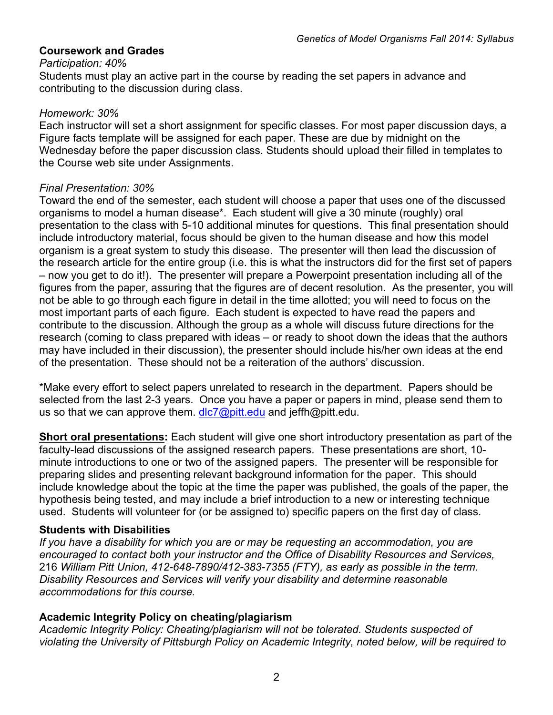### **Coursework and Grades**

#### *Participation: 40%*

Students must play an active part in the course by reading the set papers in advance and contributing to the discussion during class.

### *Homework: 30%*

Each instructor will set a short assignment for specific classes. For most paper discussion days, a Figure facts template will be assigned for each paper. These are due by midnight on the Wednesday before the paper discussion class. Students should upload their filled in templates to the Course web site under Assignments.

### *Final Presentation: 30%*

Toward the end of the semester, each student will choose a paper that uses one of the discussed organisms to model a human disease\*. Each student will give a 30 minute (roughly) oral presentation to the class with 5-10 additional minutes for questions. This final presentation should include introductory material, focus should be given to the human disease and how this model organism is a great system to study this disease. The presenter will then lead the discussion of the research article for the entire group (i.e. this is what the instructors did for the first set of papers – now you get to do it!). The presenter will prepare a Powerpoint presentation including all of the figures from the paper, assuring that the figures are of decent resolution. As the presenter, you will not be able to go through each figure in detail in the time allotted; you will need to focus on the most important parts of each figure. Each student is expected to have read the papers and contribute to the discussion. Although the group as a whole will discuss future directions for the research (coming to class prepared with ideas – or ready to shoot down the ideas that the authors may have included in their discussion), the presenter should include his/her own ideas at the end of the presentation. These should not be a reiteration of the authors' discussion.

\*Make every effort to select papers unrelated to research in the department. Papers should be selected from the last 2-3 years. Once you have a paper or papers in mind, please send them to us so that we can approve them. dlc7@pitt.edu and jeffh@pitt.edu.

**Short oral presentations:** Each student will give one short introductory presentation as part of the faculty-lead discussions of the assigned research papers. These presentations are short, 10 minute introductions to one or two of the assigned papers. The presenter will be responsible for preparing slides and presenting relevant background information for the paper. This should include knowledge about the topic at the time the paper was published, the goals of the paper, the hypothesis being tested, and may include a brief introduction to a new or interesting technique used. Students will volunteer for (or be assigned to) specific papers on the first day of class.

### **Students with Disabilities**

*If you have a disability for which you are or may be requesting an accommodation, you are encouraged to contact both your instructor and the Office of Disability Resources and Services,*  216 *William Pitt Union, 412-648-7890/412-383-7355 (FTY), as early as possible in the term. Disability Resources and Services will verify your disability and determine reasonable accommodations for this course.*

# **Academic Integrity Policy on cheating/plagiarism**

*Academic Integrity Policy: Cheating/plagiarism will not be tolerated. Students suspected of violating the University of Pittsburgh Policy on Academic Integrity, noted below, will be required to*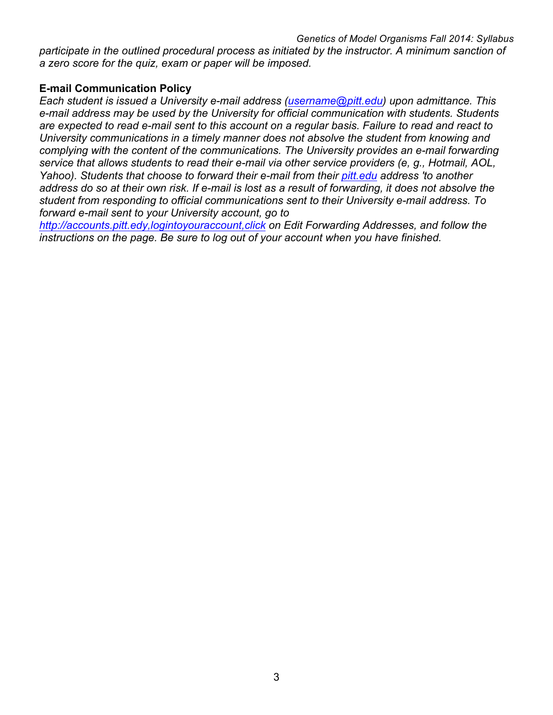*participate in the outlined procedural process as initiated by the instructor. A minimum sanction of a zero score for the quiz, exam or paper will be imposed.*

## **E-mail Communication Policy**

*Each student is issued a University e-mail address (username@pitt.edu) upon admittance. This e-mail address may be used by the University for official communication with students. Students are expected to read e-mail sent to this account on a regular basis. Failure to read and react to University communications in a timely manner does not absolve the student from knowing and complying with the content of the communications. The University provides an e-mail forwarding service that allows students to read their e-mail via other service providers (e, g., Hotmail, AOL, Yahoo). Students that choose to forward their e-mail from their pitt.edu address 'to another address do so at their own risk. If e-mail is lost as a result of forwarding, it does not absolve the student from responding to official communications sent to their University e-mail address. To forward e-mail sent to your University account, go to* 

*http://accounts.pitt.edy,logintoyouraccount,click on Edit Forwarding Addresses, and follow the instructions on the page. Be sure to log out of your account when you have finished.*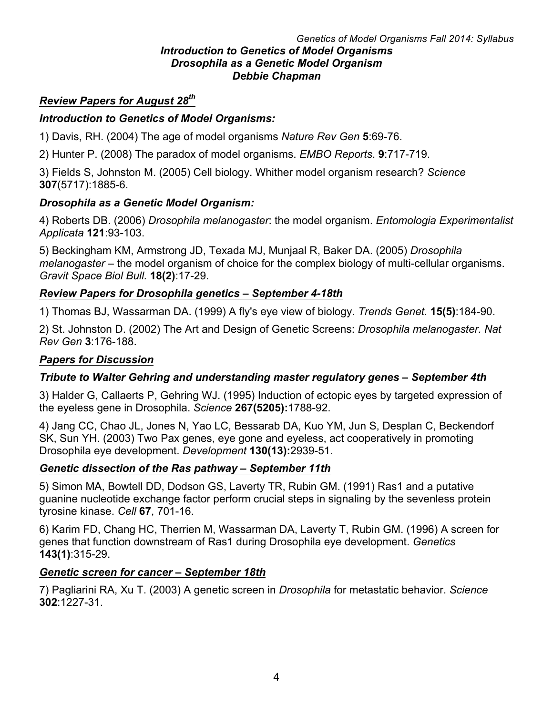#### *Genetics of Model Organisms Fall 2014: Syllabus Introduction to Genetics of Model Organisms Drosophila as a Genetic Model Organism Debbie Chapman*

# *Review Papers for August 28th*

# *Introduction to Genetics of Model Organisms:*

1) Davis, RH. (2004) The age of model organisms *Nature Rev Gen* **5**:69-76.

2) Hunter P. (2008) The paradox of model organisms. *EMBO Reports*. **9**:717-719.

3) Fields S, Johnston M. (2005) Cell biology. Whither model organism research? *Science* **307**(5717):1885-6.

# *Drosophila as a Genetic Model Organism:*

4) Roberts DB. (2006) *Drosophila melanogaster*: the model organism. *Entomologia Experimentalist Applicata* **121**:93-103.

5) Beckingham KM, Armstrong JD, Texada MJ, Munjaal R, Baker DA. (2005) *Drosophila melanogaster* – the model organism of choice for the complex biology of multi-cellular organisms. *Gravit Space Biol Bull.* **18(2)**:17-29.

# *Review Papers for Drosophila genetics – September 4-18th*

1) Thomas BJ, Wassarman DA. (1999) A fly's eye view of biology. *Trends Genet.* **15(5)**:184-90.

2) St. Johnston D. (2002) The Art and Design of Genetic Screens: *Drosophila melanogaster. Nat Rev Gen* **3**:176-188.

### *Papers for Discussion*

# *Tribute to Walter Gehring and understanding master regulatory genes – September 4th*

3) Halder G, Callaerts P, Gehring WJ. (1995) Induction of ectopic eyes by targeted expression of the eyeless gene in Drosophila. *Science* **267(5205):**1788-92.

4) Jang CC, Chao JL, Jones N, Yao LC, Bessarab DA, Kuo YM, Jun S, Desplan C, Beckendorf SK, Sun YH. (2003) Two Pax genes, eye gone and eyeless, act cooperatively in promoting Drosophila eye development. *Development* **130(13):**2939-51.

# *Genetic dissection of the Ras pathway – September 11th*

5) Simon MA, Bowtell DD, Dodson GS, Laverty TR, Rubin GM. (1991) Ras1 and a putative guanine nucleotide exchange factor perform crucial steps in signaling by the sevenless protein tyrosine kinase. *Cell* **67**, 701-16.

6) Karim FD, Chang HC, Therrien M, Wassarman DA, Laverty T, Rubin GM. (1996) A screen for genes that function downstream of Ras1 during Drosophila eye development. *Genetics* **143(1)**:315-29.

### *Genetic screen for cancer – September 18th*

7) Pagliarini RA, Xu T. (2003) A genetic screen in *Drosophila* for metastatic behavior. *Science* **302**:1227-31.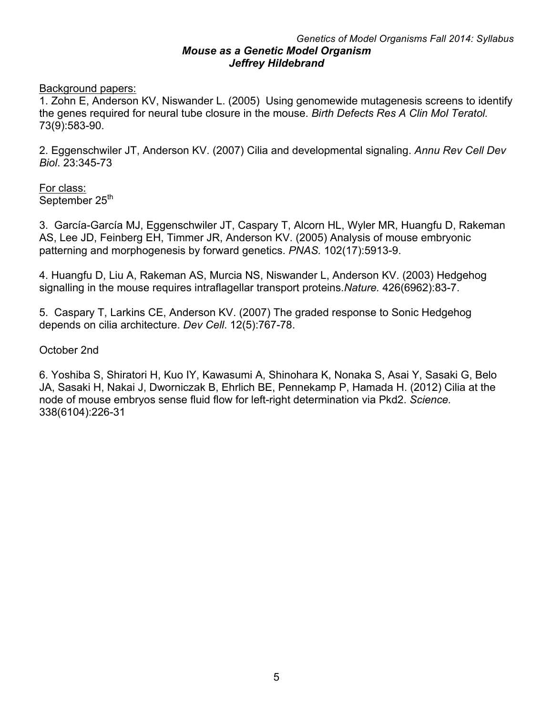#### *Genetics of Model Organisms Fall 2014: Syllabus Mouse as a Genetic Model Organism Jeffrey Hildebrand*

Background papers:

1. Zohn E, Anderson KV, Niswander L. (2005) Using genomewide mutagenesis screens to identify the genes required for neural tube closure in the mouse. *Birth Defects Res A Clin Mol Teratol.* 73(9):583-90.

2. Eggenschwiler JT, Anderson KV. (2007) Cilia and developmental signaling. *Annu Rev Cell Dev Biol*. 23:345-73

For class: September 25<sup>th</sup>

3. García-García MJ, Eggenschwiler JT, Caspary T, Alcorn HL, Wyler MR, Huangfu D, Rakeman AS, Lee JD, Feinberg EH, Timmer JR, Anderson KV. (2005) Analysis of mouse embryonic patterning and morphogenesis by forward genetics. *PNAS.* 102(17):5913-9.

4. Huangfu D, Liu A, Rakeman AS, Murcia NS, Niswander L, Anderson KV. (2003) Hedgehog signalling in the mouse requires intraflagellar transport proteins.*Nature.* 426(6962):83-7.

5. Caspary T, Larkins CE, Anderson KV. (2007) The graded response to Sonic Hedgehog depends on cilia architecture. *Dev Cell*. 12(5):767-78.

October 2nd

6. Yoshiba S, Shiratori H, Kuo IY, Kawasumi A, Shinohara K, Nonaka S, Asai Y, Sasaki G, Belo JA, Sasaki H, Nakai J, Dworniczak B, Ehrlich BE, Pennekamp P, Hamada H. (2012) Cilia at the node of mouse embryos sense fluid flow for left-right determination via Pkd2. *Science.* 338(6104):226-31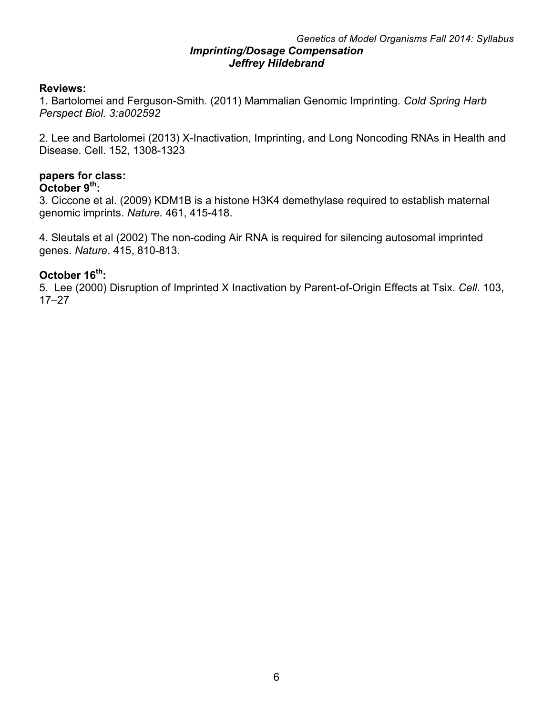#### *Genetics of Model Organisms Fall 2014: Syllabus Imprinting/Dosage Compensation Jeffrey Hildebrand*

# **Reviews:**

1. Bartolomei and Ferguson-Smith. (2011) Mammalian Genomic Imprinting. *Cold Spring Harb Perspect Biol. 3:a002592*

2. Lee and Bartolomei (2013) X-Inactivation, Imprinting, and Long Noncoding RNAs in Health and Disease. Cell. 152, 1308-1323

# **papers for class:**

# **October 9th:**

3. Ciccone et al. (2009) KDM1B is a histone H3K4 demethylase required to establish maternal genomic imprints. *Nature.* 461, 415-418.

4. Sleutals et al (2002) The non-coding Air RNA is required for silencing autosomal imprinted genes. *Nature*. 415, 810-813.

### **October 16th:**

5. Lee (2000) Disruption of Imprinted X Inactivation by Parent-of-Origin Effects at Tsix. *Cell*. 103, 17–27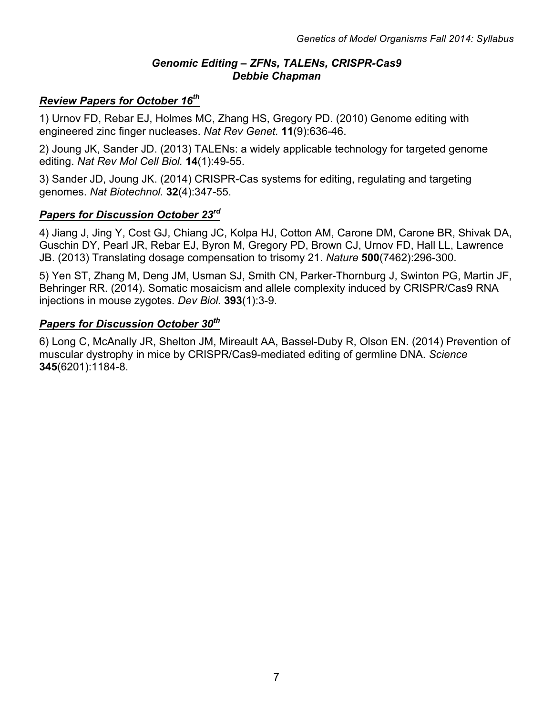# *Genomic Editing – ZFNs, TALENs, CRISPR-Cas9 Debbie Chapman*

# *Review Papers for October 16th*

1) Urnov FD, Rebar EJ, Holmes MC, Zhang HS, Gregory PD. (2010) Genome editing with engineered zinc finger nucleases. *Nat Rev Genet.* **11**(9):636-46.

2) Joung JK, Sander JD. (2013) TALENs: a widely applicable technology for targeted genome editing. *Nat Rev Mol Cell Biol.* **14**(1):49-55.

3) Sander JD, Joung JK. (2014) CRISPR-Cas systems for editing, regulating and targeting genomes. *Nat Biotechnol.* **32**(4):347-55.

### *Papers for Discussion October 23rd*

4) Jiang J, Jing Y, Cost GJ, Chiang JC, Kolpa HJ, Cotton AM, Carone DM, Carone BR, Shivak DA, Guschin DY, Pearl JR, Rebar EJ, Byron M, Gregory PD, Brown CJ, Urnov FD, Hall LL, Lawrence JB. (2013) Translating dosage compensation to trisomy 21. *Nature* **500**(7462):296-300.

5) Yen ST, Zhang M, Deng JM, Usman SJ, Smith CN, Parker-Thornburg J, Swinton PG, Martin JF, Behringer RR. (2014). Somatic mosaicism and allele complexity induced by CRISPR/Cas9 RNA injections in mouse zygotes. *Dev Biol.* **393**(1):3-9.

# *Papers for Discussion October 30th*

6) Long C, McAnally JR, Shelton JM, Mireault AA, Bassel-Duby R, Olson EN. (2014) Prevention of muscular dystrophy in mice by CRISPR/Cas9-mediated editing of germline DNA. *Science* **345**(6201):1184-8.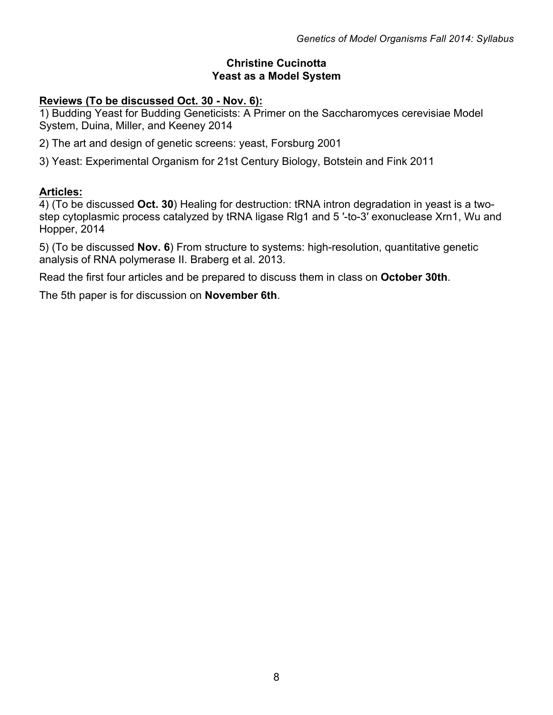# **Christine Cucinotta Yeast as a Model System**

# **Reviews (To be discussed Oct. 30 - Nov. 6):**

1) Budding Yeast for Budding Geneticists: A Primer on the Saccharomyces cerevisiae Model System, Duina, Miller, and Keeney 2014

- 2) The art and design of genetic screens: yeast, Forsburg 2001
- 3) Yeast: Experimental Organism for 21st Century Biology, Botstein and Fink 2011

# **Articles:**

4) (To be discussed **Oct. 30**) Healing for destruction: tRNA intron degradation in yeast is a twostep cytoplasmic process catalyzed by tRNA ligase Rlg1 and 5 ′-to-3′ exonuclease Xrn1, Wu and Hopper, 2014

5) (To be discussed **Nov. 6**) From structure to systems: high-resolution, quantitative genetic analysis of RNA polymerase II. Braberg et al. 2013.

Read the first four articles and be prepared to discuss them in class on **October 30th**.

The 5th paper is for discussion on **November 6th**.